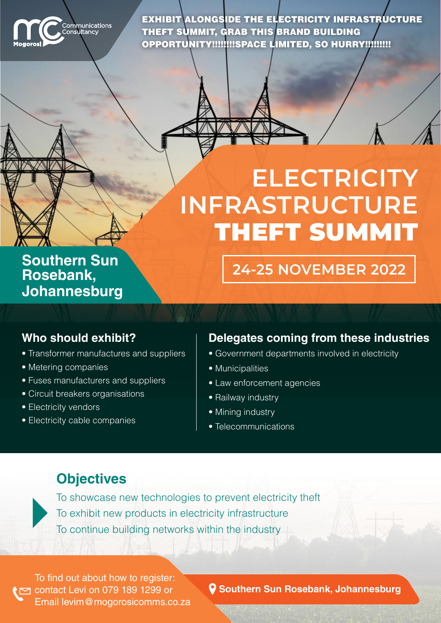

W

EXHIBIT ALONGSIDE THE ELECTRICITY INFRASTRUCTURE THEFT SUMMIT, GRAB THIS BRAND BUILDING OPPORTUNITY!!!!!!!!SPACE LIMITED, SO HURRY!!!!!!!!!

# **ELECTRICITY INFRASTRUCTURE THEFT SUMMIT**

**Southern Sun ,Rosebank Johannesburg**

#### **Who should exhibit?**

- Transformer manufactures and suppliers
- Metering companies
- Fuses manufacturers and suppliers
- Circuit breakers organisations
- Electricity vendors
- Electricity cable companies

#### **Delegates coming from these industries**

**2022 NOVEMBER 24-25**

- Government departments involved in electricity
- Municipalities
- Law enforcement agencies
- Railway industry
- Mining industry
- Telecommunications

## **Objectives**



To showcase new technologies to prevent electricity theft To exhibit new products in electricity infrastructure To continue building networks within the industry

To find out about how to register:  $\sim$  contact Levi on 079 189 1299 or Email levim @ mogorosicomms.co.za

**Q** Southern Sun Rosebank, Johannesburg